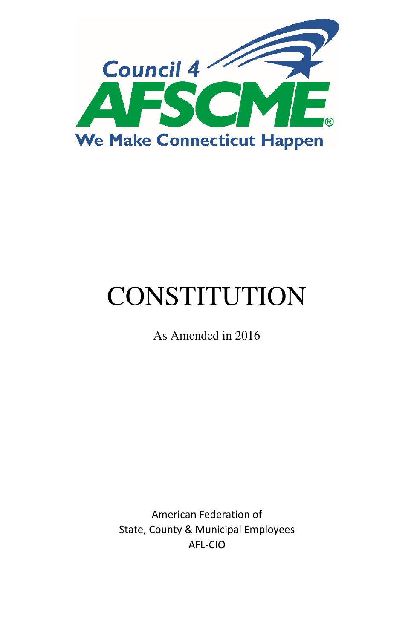

# **CONSTITUTION**

As Amended in 2016

American Federation of State, County & Municipal Employees AFL-CIO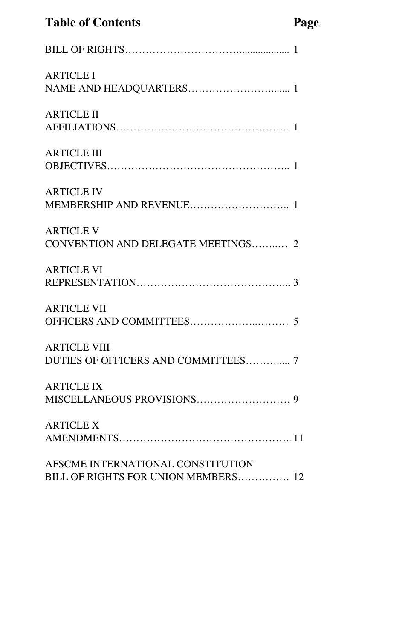# **Table of Contents Page**

| <b>ARTICLE I</b>                                                         |
|--------------------------------------------------------------------------|
| <b>ARTICLE II</b>                                                        |
| <b>ARTICLE III</b>                                                       |
| <b>ARTICLE IV</b>                                                        |
| <b>ARTICLE V</b><br>CONVENTION AND DELEGATE MEETINGS 2                   |
| <b>ARTICLE VI</b>                                                        |
| <b>ARTICLE VII</b>                                                       |
| <b>ARTICLE VIII</b><br>DUTIES OF OFFICERS AND COMMITTEES 7               |
| <b>ARTICLE IX</b>                                                        |
| <b>ARTICLE X</b>                                                         |
| AFSCME INTERNATIONAL CONSTITUTION<br>BILL OF RIGHTS FOR UNION MEMBERS 12 |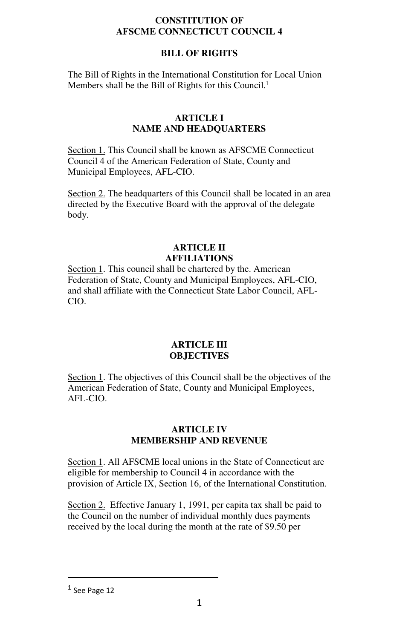#### **CONSTITUTION OF AFSCME CONNECTICUT COUNCIL 4**

### **BILL OF RIGHTS**

The Bill of Rights in the International Constitution for Local Union Members shall be the Bill of Rights for this Council.<sup>1</sup>

#### **ARTICLE I NAME AND HEADQUARTERS**

Section 1. This Council shall be known as AFSCME Connecticut Council 4 of the American Federation of State, County and Municipal Employees, AFL-CIO.

Section 2. The headquarters of this Council shall be located in an area directed by the Executive Board with the approval of the delegate body.

#### **ARTICLE II AFFILIATIONS**

Section 1. This council shall be chartered by the. American Federation of State, County and Municipal Employees, AFL-CIO, and shall affiliate with the Connecticut State Labor Council, AFL-CIO.

#### **ARTICLE III OBJECTIVES**

Section 1. The objectives of this Council shall be the objectives of the American Federation of State, County and Municipal Employees, AFL-CIO.

#### **ARTICLE IV MEMBERSHIP AND REVENUE**

Section 1. All AFSCME local unions in the State of Connecticut are eligible for membership to Council 4 in accordance with the provision of Article IX, Section 16, of the International Constitution.

Section 2. Effective January 1, 1991, per capita tax shall be paid to the Council on the number of individual monthly dues payments received by the local during the month at the rate of \$9.50 per

 $<sup>1</sup>$  See Page 12</sup>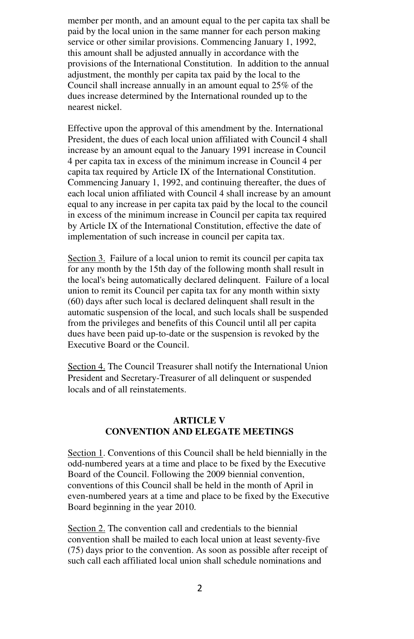member per month, and an amount equal to the per capita tax shall be paid by the local union in the same manner for each person making service or other similar provisions. Commencing January 1, 1992, this amount shall be adjusted annually in accordance with the provisions of the International Constitution. In addition to the annual adjustment, the monthly per capita tax paid by the local to the Council shall increase annually in an amount equal to 25% of the dues increase determined by the International rounded up to the nearest nickel.

Effective upon the approval of this amendment by the. International President, the dues of each local union affiliated with Council 4 shall increase by an amount equal to the January 1991 increase in Council 4 per capita tax in excess of the minimum increase in Council 4 per capita tax required by Article IX of the International Constitution. Commencing January 1, 1992, and continuing thereafter, the dues of each local union affiliated with Council 4 shall increase by an amount equal to any increase in per capita tax paid by the local to the council in excess of the minimum increase in Council per capita tax required by Article IX of the International Constitution, effective the date of implementation of such increase in council per capita tax.

Section 3. Failure of a local union to remit its council per capita tax for any month by the 15th day of the following month shall result in the local's being automatically declared delinquent. Failure of a local union to remit its Council per capita tax for any month within sixty (60) days after such local is declared delinquent shall result in the automatic suspension of the local, and such locals shall be suspended from the privileges and benefits of this Council until all per capita dues have been paid up-to-date or the suspension is revoked by the Executive Board or the Council.

Section 4. The Council Treasurer shall notify the International Union President and Secretary-Treasurer of all delinquent or suspended locals and of all reinstatements.

#### **ARTICLE V CONVENTION AND ELEGATE MEETINGS**

Section 1. Conventions of this Council shall be held biennially in the odd-numbered years at a time and place to be fixed by the Executive Board of the Council. Following the 2009 biennial convention, conventions of this Council shall be held in the month of April in even-numbered years at a time and place to be fixed by the Executive Board beginning in the year 2010.

Section 2. The convention call and credentials to the biennial convention shall be mailed to each local union at least seventy-five (75) days prior to the convention. As soon as possible after receipt of such call each affiliated local union shall schedule nominations and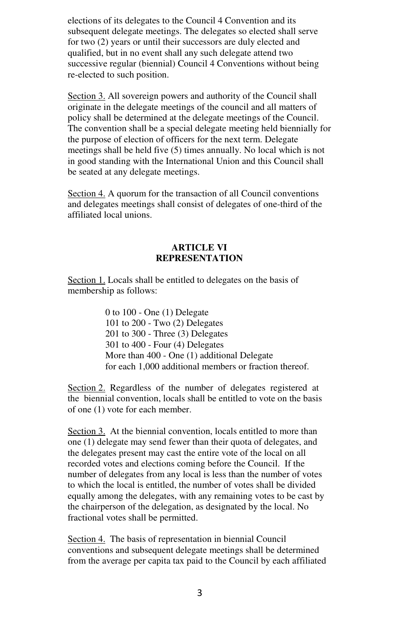elections of its delegates to the Council 4 Convention and its subsequent delegate meetings. The delegates so elected shall serve for two (2) years or until their successors are duly elected and qualified, but in no event shall any such delegate attend two successive regular (biennial) Council 4 Conventions without being re-elected to such position.

Section 3. All sovereign powers and authority of the Council shall originate in the delegate meetings of the council and all matters of policy shall be determined at the delegate meetings of the Council. The convention shall be a special delegate meeting held biennially for the purpose of election of officers for the next term. Delegate meetings shall be held five (5) times annually. No local which is not in good standing with the International Union and this Council shall be seated at any delegate meetings.

Section 4. A quorum for the transaction of all Council conventions and delegates meetings shall consist of delegates of one-third of the affiliated local unions.

#### **ARTICLE VI REPRESENTATION**

Section 1. Locals shall be entitled to delegates on the basis of membership as follows:

> 0 to 100 - One (1) Delegate 101 to 200 - Two (2) Delegates 201 to 300 - Three (3) Delegates 301 to 400 - Four (4) Delegates More than 400 - One (1) additional Delegate for each 1,000 additional members or fraction thereof.

Section 2. Regardless of the number of delegates registered at the biennial convention, locals shall be entitled to vote on the basis of one (1) vote for each member.

Section 3. At the biennial convention, locals entitled to more than one (1) delegate may send fewer than their quota of delegates, and the delegates present may cast the entire vote of the local on all recorded votes and elections coming before the Council. If the number of delegates from any local is less than the number of votes to which the local is entitled, the number of votes shall be divided equally among the delegates, with any remaining votes to be cast by the chairperson of the delegation, as designated by the local. No fractional votes shall be permitted.

Section 4. The basis of representation in biennial Council conventions and subsequent delegate meetings shall be determined from the average per capita tax paid to the Council by each affiliated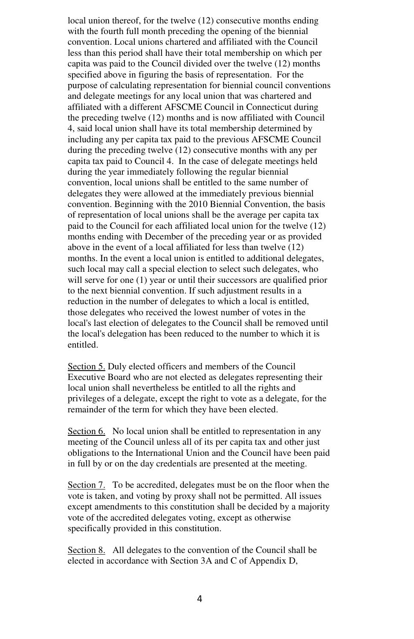local union thereof, for the twelve (12) consecutive months ending with the fourth full month preceding the opening of the biennial convention. Local unions chartered and affiliated with the Council less than this period shall have their total membership on which per capita was paid to the Council divided over the twelve (12) months specified above in figuring the basis of representation. For the purpose of calculating representation for biennial council conventions and delegate meetings for any local union that was chartered and affiliated with a different AFSCME Council in Connecticut during the preceding twelve (12) months and is now affiliated with Council 4, said local union shall have its total membership determined by including any per capita tax paid to the previous AFSCME Council during the preceding twelve (12) consecutive months with any per capita tax paid to Council 4. In the case of delegate meetings held during the year immediately following the regular biennial convention, local unions shall be entitled to the same number of delegates they were allowed at the immediately previous biennial convention. Beginning with the 2010 Biennial Convention, the basis of representation of local unions shall be the average per capita tax paid to the Council for each affiliated local union for the twelve (12) months ending with December of the preceding year or as provided above in the event of a local affiliated for less than twelve (12) months. In the event a local union is entitled to additional delegates, such local may call a special election to select such delegates, who will serve for one (1) year or until their successors are qualified prior to the next biennial convention. If such adjustment results in a reduction in the number of delegates to which a local is entitled, those delegates who received the lowest number of votes in the local's last election of delegates to the Council shall be removed until the local's delegation has been reduced to the number to which it is entitled.

Section 5. Duly elected officers and members of the Council Executive Board who are not elected as delegates representing their local union shall nevertheless be entitled to all the rights and privileges of a delegate, except the right to vote as a delegate, for the remainder of the term for which they have been elected.

Section 6. No local union shall be entitled to representation in any meeting of the Council unless all of its per capita tax and other just obligations to the International Union and the Council have been paid in full by or on the day credentials are presented at the meeting.

Section 7. To be accredited, delegates must be on the floor when the vote is taken, and voting by proxy shall not be permitted. All issues except amendments to this constitution shall be decided by a majority vote of the accredited delegates voting, except as otherwise specifically provided in this constitution.

Section 8. All delegates to the convention of the Council shall be elected in accordance with Section 3A and C of Appendix D,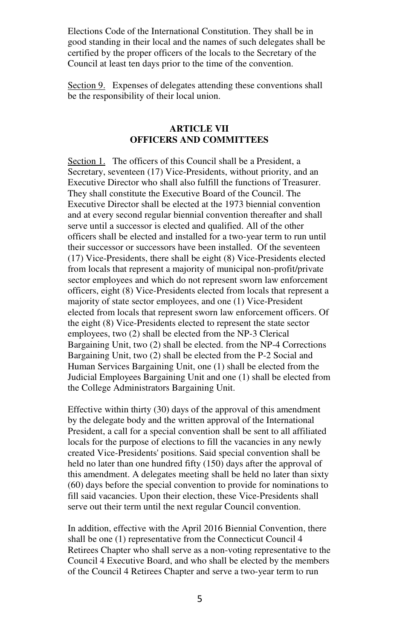Elections Code of the International Constitution. They shall be in good standing in their local and the names of such delegates shall be certified by the proper officers of the locals to the Secretary of the Council at least ten days prior to the time of the convention.

Section 9. Expenses of delegates attending these conventions shall be the responsibility of their local union.

#### **ARTICLE VII OFFICERS AND COMMITTEES**

Section 1. The officers of this Council shall be a President, a Secretary, seventeen (17) Vice-Presidents, without priority, and an Executive Director who shall also fulfill the functions of Treasurer. They shall constitute the Executive Board of the Council. The Executive Director shall be elected at the 1973 biennial convention and at every second regular biennial convention thereafter and shall serve until a successor is elected and qualified. All of the other officers shall be elected and installed for a two-year term to run until their successor or successors have been installed. Of the seventeen (17) Vice-Presidents, there shall be eight (8) Vice-Presidents elected from locals that represent a majority of municipal non-profit/private sector employees and which do not represent sworn law enforcement officers, eight (8) Vice-Presidents elected from locals that represent a majority of state sector employees, and one (1) Vice-President elected from locals that represent sworn law enforcement officers. Of the eight (8) Vice-Presidents elected to represent the state sector employees, two (2) shall be elected from the NP-3 Clerical Bargaining Unit, two (2) shall be elected. from the NP-4 Corrections Bargaining Unit, two (2) shall be elected from the P-2 Social and Human Services Bargaining Unit, one (1) shall be elected from the Judicial Employees Bargaining Unit and one (1) shall be elected from the College Administrators Bargaining Unit.

Effective within thirty (30) days of the approval of this amendment by the delegate body and the written approval of the International President, a call for a special convention shall be sent to all affiliated locals for the purpose of elections to fill the vacancies in any newly created Vice-Presidents' positions. Said special convention shall be held no later than one hundred fifty (150) days after the approval of this amendment. A delegates meeting shall be held no later than sixty (60) days before the special convention to provide for nominations to fill said vacancies. Upon their election, these Vice-Presidents shall serve out their term until the next regular Council convention.

In addition, effective with the April 2016 Biennial Convention, there shall be one (1) representative from the Connecticut Council 4 Retirees Chapter who shall serve as a non-voting representative to the Council 4 Executive Board, and who shall be elected by the members of the Council 4 Retirees Chapter and serve a two-year term to run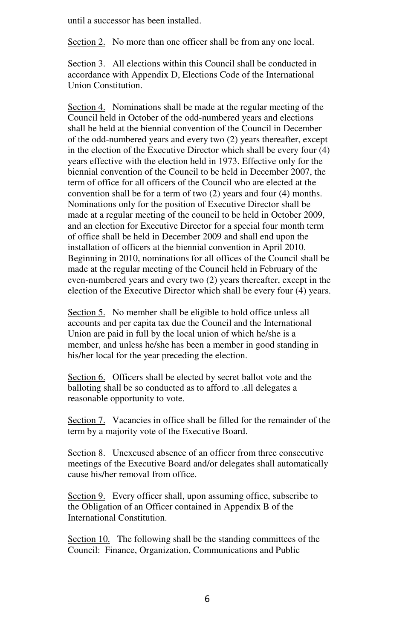until a successor has been installed.

Section 2. No more than one officer shall be from any one local.

Section 3. All elections within this Council shall be conducted in accordance with Appendix D, Elections Code of the International Union Constitution.

Section 4. Nominations shall be made at the regular meeting of the Council held in October of the odd-numbered years and elections shall be held at the biennial convention of the Council in December of the odd-numbered years and every two (2) years thereafter, except in the election of the Executive Director which shall be every four (4) years effective with the election held in 1973. Effective only for the biennial convention of the Council to be held in December 2007, the term of office for all officers of the Council who are elected at the convention shall be for a term of two (2) years and four (4) months. Nominations only for the position of Executive Director shall be made at a regular meeting of the council to be held in October 2009, and an election for Executive Director for a special four month term of office shall be held in December 2009 and shall end upon the installation of officers at the biennial convention in April 2010. Beginning in 2010, nominations for all offices of the Council shall be made at the regular meeting of the Council held in February of the even-numbered years and every two (2) years thereafter, except in the election of the Executive Director which shall be every four (4) years.

Section 5. No member shall be eligible to hold office unless all accounts and per capita tax due the Council and the International Union are paid in full by the local union of which he/she is a member, and unless he/she has been a member in good standing in his/her local for the year preceding the election.

Section 6. Officers shall be elected by secret ballot vote and the balloting shall be so conducted as to afford to .all delegates a reasonable opportunity to vote.

Section 7. Vacancies in office shall be filled for the remainder of the term by a majority vote of the Executive Board.

Section 8. Unexcused absence of an officer from three consecutive meetings of the Executive Board and/or delegates shall automatically cause his/her removal from office.

Section 9. Every officer shall, upon assuming office, subscribe to the Obligation of an Officer contained in Appendix B of the International Constitution.

Section 10. The following shall be the standing committees of the Council: Finance, Organization, Communications and Public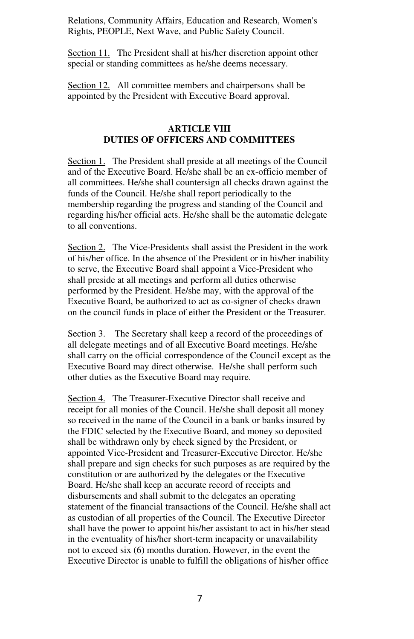Relations, Community Affairs, Education and Research, Women's Rights, PEOPLE, Next Wave, and Public Safety Council.

Section 11. The President shall at his/her discretion appoint other special or standing committees as he/she deems necessary.

Section 12. All committee members and chairpersons shall be appointed by the President with Executive Board approval.

#### **ARTICLE VIII DUTIES OF OFFICERS AND COMMITTEES**

Section 1. The President shall preside at all meetings of the Council and of the Executive Board. He/she shall be an ex-officio member of all committees. He/she shall countersign all checks drawn against the funds of the Council. He/she shall report periodically to the membership regarding the progress and standing of the Council and regarding his/her official acts. He/she shall be the automatic delegate to all conventions.

Section 2. The Vice-Presidents shall assist the President in the work of his/her office. In the absence of the President or in his/her inability to serve, the Executive Board shall appoint a Vice-President who shall preside at all meetings and perform all duties otherwise performed by the President. He/she may, with the approval of the Executive Board, be authorized to act as co-signer of checks drawn on the council funds in place of either the President or the Treasurer.

Section 3. The Secretary shall keep a record of the proceedings of all delegate meetings and of all Executive Board meetings. He/she shall carry on the official correspondence of the Council except as the Executive Board may direct otherwise. He/she shall perform such other duties as the Executive Board may require.

Section 4. The Treasurer-Executive Director shall receive and receipt for all monies of the Council. He/she shall deposit all money so received in the name of the Council in a bank or banks insured by the FDIC selected by the Executive Board, and money so deposited shall be withdrawn only by check signed by the President, or appointed Vice-President and Treasurer-Executive Director. He/she shall prepare and sign checks for such purposes as are required by the constitution or are authorized by the delegates or the Executive Board. He/she shall keep an accurate record of receipts and disbursements and shall submit to the delegates an operating statement of the financial transactions of the Council. He/she shall act as custodian of all properties of the Council. The Executive Director shall have the power to appoint his/her assistant to act in his/her stead in the eventuality of his/her short-term incapacity or unavailability not to exceed six (6) months duration. However, in the event the Executive Director is unable to fulfill the obligations of his/her office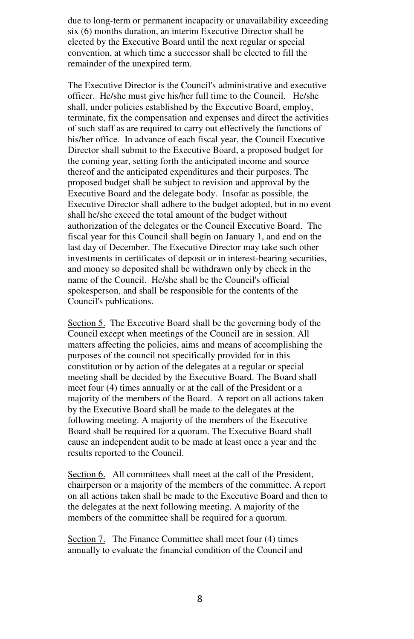due to long-term or permanent incapacity or unavailability exceeding six (6) months duration, an interim Executive Director shall be elected by the Executive Board until the next regular or special convention, at which time a successor shall be elected to fill the remainder of the unexpired term.

The Executive Director is the Council's administrative and executive officer. He/she must give his/her full time to the Council. He/she shall, under policies established by the Executive Board, employ, terminate, fix the compensation and expenses and direct the activities of such staff as are required to carry out effectively the functions of his/her office. In advance of each fiscal year, the Council Executive Director shall submit to the Executive Board, a proposed budget for the coming year, setting forth the anticipated income and source thereof and the anticipated expenditures and their purposes. The proposed budget shall be subject to revision and approval by the Executive Board and the delegate body. Insofar as possible, the Executive Director shall adhere to the budget adopted, but in no event shall he/she exceed the total amount of the budget without authorization of the delegates or the Council Executive Board. The fiscal year for this Council shall begin on January 1, and end on the last day of December. The Executive Director may take such other investments in certificates of deposit or in interest-bearing securities, and money so deposited shall be withdrawn only by check in the name of the Council. He/she shall be the Council's official spokesperson, and shall be responsible for the contents of the Council's publications.

Section 5. The Executive Board shall be the governing body of the Council except when meetings of the Council are in session. All matters affecting the policies, aims and means of accomplishing the purposes of the council not specifically provided for in this constitution or by action of the delegates at a regular or special meeting shall be decided by the Executive Board. The Board shall meet four (4) times annually or at the call of the President or a majority of the members of the Board. A report on all actions taken by the Executive Board shall be made to the delegates at the following meeting. A majority of the members of the Executive Board shall be required for a quorum. The Executive Board shall cause an independent audit to be made at least once a year and the results reported to the Council.

Section 6. All committees shall meet at the call of the President, chairperson or a majority of the members of the committee. A report on all actions taken shall be made to the Executive Board and then to the delegates at the next following meeting. A majority of the members of the committee shall be required for a quorum.

Section 7. The Finance Committee shall meet four (4) times annually to evaluate the financial condition of the Council and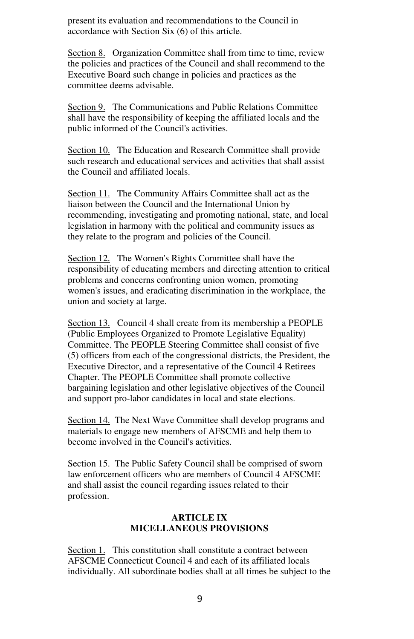present its evaluation and recommendations to the Council in accordance with Section Six (6) of this article.

Section 8. Organization Committee shall from time to time, review the policies and practices of the Council and shall recommend to the Executive Board such change in policies and practices as the committee deems advisable.

Section 9. The Communications and Public Relations Committee shall have the responsibility of keeping the affiliated locals and the public informed of the Council's activities.

Section 10. The Education and Research Committee shall provide such research and educational services and activities that shall assist the Council and affiliated locals.

Section 11. The Community Affairs Committee shall act as the liaison between the Council and the International Union by recommending, investigating and promoting national, state, and local legislation in harmony with the political and community issues as they relate to the program and policies of the Council.

Section 12. The Women's Rights Committee shall have the responsibility of educating members and directing attention to critical problems and concerns confronting union women, promoting women's issues, and eradicating discrimination in the workplace, the union and society at large.

Section 13. Council 4 shall create from its membership a PEOPLE (Public Employees Organized to Promote Legislative Equality) Committee. The PEOPLE Steering Committee shall consist of five (5) officers from each of the congressional districts, the President, the Executive Director, and a representative of the Council 4 Retirees Chapter. The PEOPLE Committee shall promote collective bargaining legislation and other legislative objectives of the Council and support pro-labor candidates in local and state elections.

Section 14. The Next Wave Committee shall develop programs and materials to engage new members of AFSCME and help them to become involved in the Council's activities.

Section 15. The Public Safety Council shall be comprised of sworn law enforcement officers who are members of Council 4 AFSCME and shall assist the council regarding issues related to their profession.

#### **ARTICLE IX MICELLANEOUS PROVISIONS**

Section 1. This constitution shall constitute a contract between AFSCME Connecticut Council 4 and each of its affiliated locals individually. All subordinate bodies shall at all times be subject to the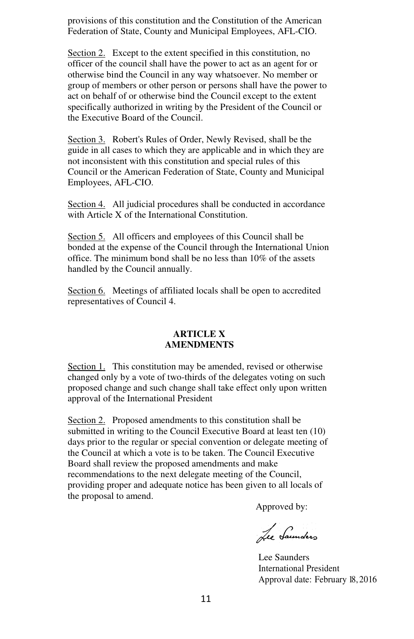provisions of this constitution and the Constitution of the American Federation of State, County and Municipal Employees, AFL-CIO.

Section 2. Except to the extent specified in this constitution, no officer of the council shall have the power to act as an agent for or otherwise bind the Council in any way whatsoever. No member or group of members or other person or persons shall have the power to act on behalf of or otherwise bind the Council except to the extent specifically authorized in writing by the President of the Council or the Executive Board of the Council.

Section 3. Robert's Rules of Order, Newly Revised, shall be the guide in all cases to which they are applicable and in which they are not inconsistent with this constitution and special rules of this Council or the American Federation of State, County and Municipal Employees, AFL-CIO.

Section 4. All judicial procedures shall be conducted in accordance with Article X of the International Constitution.

Section 5. All officers and employees of this Council shall be bonded at the expense of the Council through the International Union office. The minimum bond shall be no less than 10% of the assets handled by the Council annually.

Section 6. Meetings of affiliated locals shall be open to accredited representatives of Council 4.

#### **ARTICLE X AMENDMENTS**

Section 1. This constitution may be amended, revised or otherwise changed only by a vote of two-thirds of the delegates voting on such proposed change and such change shall take effect only upon written approval of the International President

Section 2. Proposed amendments to this constitution shall be submitted in writing to the Council Executive Board at least ten (10) days prior to the regular or special convention or delegate meeting of the Council at which a vote is to be taken. The Council Executive Board shall review the proposed amendments and make recommendations to the next delegate meeting of the Council, providing proper and adequate notice has been given to all locals of the proposal to amend.

Approved by:

Lee Saunders

Lee Saunders International President Approval date: February 18,2016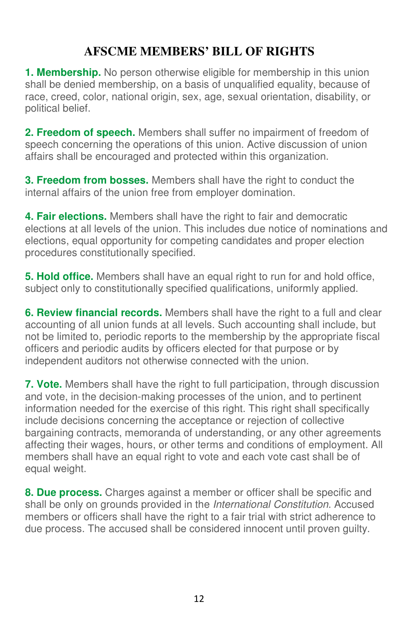# **AFSCME MEMBERS' BILL OF RIGHTS**

**1. Membership.** No person otherwise eligible for membership in this union shall be denied membership, on a basis of unqualified equality, because of race, creed, color, national origin, sex, age, sexual orientation, disability, or political belief.

**2. Freedom of speech.** Members shall suffer no impairment of freedom of speech concerning the operations of this union. Active discussion of union affairs shall be encouraged and protected within this organization.

**3. Freedom from bosses.** Members shall have the right to conduct the internal affairs of the union free from employer domination.

**4. Fair elections.** Members shall have the right to fair and democratic elections at all levels of the union. This includes due notice of nominations and elections, equal opportunity for competing candidates and proper election procedures constitutionally specified.

**5. Hold office.** Members shall have an equal right to run for and hold office, subject only to constitutionally specified qualifications, uniformly applied.

**6. Review financial records.** Members shall have the right to a full and clear accounting of all union funds at all levels. Such accounting shall include, but not be limited to, periodic reports to the membership by the appropriate fiscal officers and periodic audits by officers elected for that purpose or by independent auditors not otherwise connected with the union.

**7. Vote.** Members shall have the right to full participation, through discussion and vote, in the decision-making processes of the union, and to pertinent information needed for the exercise of this right. This right shall specifically include decisions concerning the acceptance or rejection of collective bargaining contracts, memoranda of understanding, or any other agreements affecting their wages, hours, or other terms and conditions of employment. All members shall have an equal right to vote and each vote cast shall be of equal weight.

**8. Due process.** Charges against a member or officer shall be specific and shall be only on grounds provided in the International Constitution. Accused members or officers shall have the right to a fair trial with strict adherence to due process. The accused shall be considered innocent until proven guilty.